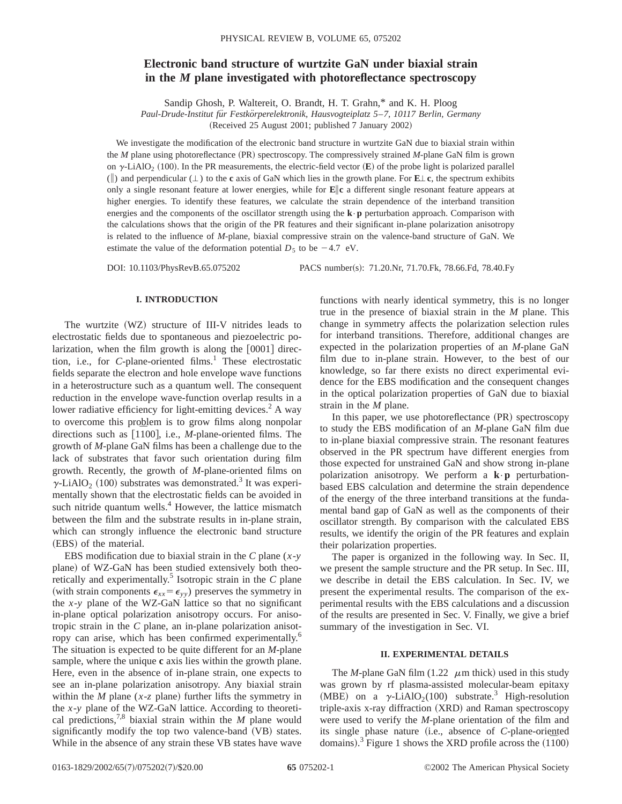# **Electronic band structure of wurtzite GaN under biaxial strain in the** *M* **plane investigated with photoreflectance spectroscopy**

Sandip Ghosh, P. Waltereit, O. Brandt, H. T. Grahn,\* and K. H. Ploog

*Paul-Drude-Institut fu¨r Festko¨rperelektronik, Hausvogteiplatz 5*–*7, 10117 Berlin, Germany*

 $(Received 25 August 2001; published 7 January 2002)$ 

We investigate the modification of the electronic band structure in wurtzite GaN due to biaxial strain within the *M* plane using photoreflectance (PR) spectroscopy. The compressively strained *M*-plane GaN film is grown on  $\gamma$ -LiAlO<sub>2</sub> (100). In the PR measurements, the electric-field vector  $(\mathbf{E})$  of the probe light is polarized parallel ( $\parallel$ ) and perpendicular ( $\perp$ ) to the **c** axis of GaN which lies in the growth plane. For **E** $\perp$  **c**, the spectrum exhibits only a single resonant feature at lower energies, while for **E**i**c** a different single resonant feature appears at higher energies. To identify these features, we calculate the strain dependence of the interband transition energies and the components of the oscillator strength using the **k**•**p** perturbation approach. Comparison with the calculations shows that the origin of the PR features and their significant in-plane polarization anisotropy is related to the influence of *M*-plane, biaxial compressive strain on the valence-band structure of GaN. We estimate the value of the deformation potential  $D_5$  to be  $-4.7$  eV.

DOI: 10.1103/PhysRevB.65.075202 PACS number(s): 71.20.Nr, 71.70.Fk, 78.66.Fd, 78.40.Fy

## **I. INTRODUCTION**

The wurtzite  $(WZ)$  structure of III-V nitrides leads to electrostatic fields due to spontaneous and piezoelectric polarization, when the film growth is along the  $[0001]$  direction, i.e., for  $C$ -plane-oriented films.<sup>1</sup> These electrostatic fields separate the electron and hole envelope wave functions in a heterostructure such as a quantum well. The consequent reduction in the envelope wave-function overlap results in a lower radiative efficiency for light-emitting devices.<sup>2</sup> A way to overcome this problem is to grow films along nonpolar directions such as [1100], i.e., *M*-plane-oriented films. The growth of *M*-plane GaN films has been a challenge due to the lack of substrates that favor such orientation during film growth. Recently, the growth of *M*-plane-oriented films on  $\gamma$ -LiAlO<sub>2</sub> (100) substrates was demonstrated.<sup>3</sup> It was experimentally shown that the electrostatic fields can be avoided in such nitride quantum wells. $4$  However, the lattice mismatch between the film and the substrate results in in-plane strain, which can strongly influence the electronic band structure (EBS) of the material.

EBS modification due to biaxial strain in the *C* plane (*x*-*y* plane) of WZ-GaN has been studied extensively both theoretically and experimentally.<sup>5</sup> Isotropic strain in the  $C$  plane (with strain components  $\epsilon_{xx} = \epsilon_{yy}$ ) preserves the symmetry in the  $x$ - $y$  plane of the WZ-GaN lattice so that no significant in-plane optical polarization anisotropy occurs. For anisotropic strain in the *C* plane, an in-plane polarization anisotropy can arise, which has been confirmed experimentally.<sup>6</sup> The situation is expected to be quite different for an *M*-plane sample, where the unique **c** axis lies within the growth plane. Here, even in the absence of in-plane strain, one expects to see an in-plane polarization anisotropy. Any biaxial strain within the *M* plane ( $x$ -*z* plane) further lifts the symmetry in the *x*-*y* plane of the WZ-GaN lattice. According to theoretical predictions,7,8 biaxial strain within the *M* plane would significantly modify the top two valence-band (VB) states. While in the absence of any strain these VB states have wave

functions with nearly identical symmetry, this is no longer true in the presence of biaxial strain in the *M* plane. This change in symmetry affects the polarization selection rules for interband transitions. Therefore, additional changes are expected in the polarization properties of an *M*-plane GaN film due to in-plane strain. However, to the best of our knowledge, so far there exists no direct experimental evidence for the EBS modification and the consequent changes in the optical polarization properties of GaN due to biaxial strain in the *M* plane.

In this paper, we use photoreflectance (PR) spectroscopy to study the EBS modification of an *M*-plane GaN film due to in-plane biaxial compressive strain. The resonant features observed in the PR spectrum have different energies from those expected for unstrained GaN and show strong in-plane polarization anisotropy. We perform a **k**•**p** perturbationbased EBS calculation and determine the strain dependence of the energy of the three interband transitions at the fundamental band gap of GaN as well as the components of their oscillator strength. By comparison with the calculated EBS results, we identify the origin of the PR features and explain their polarization properties.

The paper is organized in the following way. In Sec. II, we present the sample structure and the PR setup. In Sec. III, we describe in detail the EBS calculation. In Sec. IV, we present the experimental results. The comparison of the experimental results with the EBS calculations and a discussion of the results are presented in Sec. V. Finally, we give a brief summary of the investigation in Sec. VI.

### **II. EXPERIMENTAL DETAILS**

The *M*-plane GaN film (1.22  $\mu$ m thick) used in this study was grown by rf plasma-assisted molecular-beam epitaxy (MBE) on a  $\gamma$ -LiAlO<sub>2</sub>(100) substrate.<sup>3</sup> High-resolution triple-axis x-ray diffraction (XRD) and Raman spectroscopy were used to verify the *M*-plane orientation of the film and its single phase nature (i.e., absence of *C*-plane-oriented the single phase nature (i.e., absence of C-piane-oriented domains).<sup>3</sup> Figure 1 shows the XRD profile across the  $(1100)$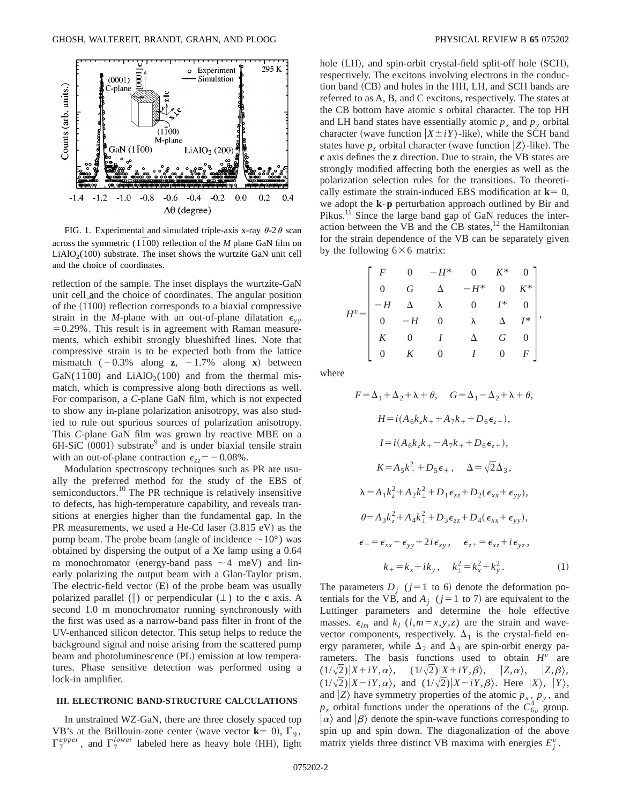

FIG. 1. Experimental and simulated triple-axis x-ray  $\theta$ -2 $\theta$  scan across the symmetric ( $1\overline{1}00$ ) reflection of the *M* plane GaN film on  $LiAlO<sub>2</sub>(100)$  substrate. The inset shows the wurtzite GaN unit cell and the choice of coordinates.

reflection of the sample. The inset displays the wurtzite-GaN unit cell and the choice of coordinates. The angular position of the  $(1100)$  reflection corresponds to a biaxial compressive strain in the *M*-plane with an out-of-plane dilatation  $\epsilon_{yy}$  $=0.29\%$ . This result is in agreement with Raman measurements, which exhibit strongly blueshifted lines. Note that compressive strain is to be expected both from the lattice mismatch  $(-0.3\%$  along **z**,  $-1.7\%$  along **x**) between GaN( $1\bar{1}00$ ) and LiAlO<sub>2</sub>(100) and from the thermal mismatch, which is compressive along both directions as well. For comparison, a *C*-plane GaN film, which is not expected to show any in-plane polarization anisotropy, was also studied to rule out spurious sources of polarization anisotropy. This *C*-plane GaN film was grown by reactive MBE on a  $6H-SiC (0001)$  substrate<sup>9</sup> and is under biaxial tensile strain with an out-of-plane contraction  $\epsilon_{zz} = -0.08\%$ .

Modulation spectroscopy techniques such as PR are usually the preferred method for the study of the EBS of semiconductors.<sup>10</sup> The PR technique is relatively insensitive to defects, has high-temperature capability, and reveals transitions at energies higher than the fundamental gap. In the PR measurements, we used a He-Cd laser  $(3.815 \text{ eV})$  as the pump beam. The probe beam (angle of incidence  $\sim 10^{\circ}$ ) was obtained by dispersing the output of a Xe lamp using a 0.64 m monochromator (energy-band pass  $\sim$  4 meV) and linearly polarizing the output beam with a Glan-Taylor prism. The electric-field vector  $(\mathbf{E})$  of the probe beam was usually polarized parallel ( $\parallel$ ) or perpendicular ( $\perp$ ) to the **c** axis. A second 1.0 m monochromator running synchronously with the first was used as a narrow-band pass filter in front of the UV-enhanced silicon detector. This setup helps to reduce the background signal and noise arising from the scattered pump beam and photoluminescence (PL) emission at low temperatures. Phase sensitive detection was performed using a lock-in amplifier.

#### **III. ELECTRONIC BAND-STRUCTURE CALCULATIONS**

In unstrained WZ-GaN, there are three closely spaced top VB's at the Brillouin-zone center (wave vector  $\mathbf{k} = 0$ ),  $\Gamma_9$ ,  $\Gamma_7^{upper}$ , and  $\Gamma_7^{lower}$  labeled here as heavy hole (HH), light hole  $(LH)$ , and spin-orbit crystal-field split-off hole  $(SCH)$ , respectively. The excitons involving electrons in the conduction band (CB) and holes in the HH, LH, and SCH bands are referred to as A, B, and C excitons, respectively. The states at the CB bottom have atomic *s* orbital character. The top HH and LH band states have essentially atomic  $p_x$  and  $p_y$  orbital character (wave function  $|X \pm iY\rangle$ -like), while the SCH band states have  $p_z$  orbital character (wave function  $|Z\rangle$ -like). The **c** axis defines the **z** direction. Due to strain, the VB states are strongly modified affecting both the energies as well as the polarization selection rules for the transitions. To theoretically estimate the strain-induced EBS modification at  $\mathbf{k} = 0$ , we adopt the **k**•**p** perturbation approach outlined by Bir and Pikus.<sup>11</sup> Since the large band gap of GaN reduces the interaction between the VB and the CB states, $^{12}$  the Hamiltonian for the strain dependence of the VB can be separately given by the following  $6\times6$  matrix:

$$
H^{v} = \begin{bmatrix} F & 0 & -H^{*} & 0 & K^{*} & 0 \\ 0 & G & \Delta & -H^{*} & 0 & K^{*} \\ -H & \Delta & \lambda & 0 & I^{*} & 0 \\ 0 & -H & 0 & \lambda & \Delta & I^{*} \\ K & 0 & I & \Delta & G & 0 \\ 0 & K & 0 & I & 0 & F \end{bmatrix},
$$

where

$$
F = \Delta_1 + \Delta_2 + \lambda + \theta, \quad G = \Delta_1 - \Delta_2 + \lambda + \theta,
$$
  
\n
$$
H = i(A_6k_zk_+ + A_7k_+ + D_6\epsilon_{z+}),
$$
  
\n
$$
I = i(A_6k_zk_+ - A_7k_+ + D_6\epsilon_{z+}),
$$
  
\n
$$
K = A_5k_+^2 + D_5\epsilon_+, \quad \Delta = \sqrt{2}\Delta_3,
$$
  
\n
$$
\lambda = A_1k_z^2 + A_2k_{\perp}^2 + D_1\epsilon_{zz} + D_2(\epsilon_{xx} + \epsilon_{yy}),
$$
  
\n
$$
\theta = A_3k_z^2 + A_4k_{\perp}^2 + D_3\epsilon_{zz} + D_4(\epsilon_{xx} + \epsilon_{yy}),
$$
  
\n
$$
\epsilon_+ = \epsilon_{xx} - \epsilon_{yy} + 2i\epsilon_{xy}, \quad \epsilon_{z+} = \epsilon_{xz} + i\epsilon_{yz},
$$
  
\n
$$
k_+ = k_x + ik_y, \quad k_{\perp}^2 = k_x^2 + k_y^2.
$$
 (1)

The parameters  $D_i$  ( $j=1$  to 6) denote the deformation potentials for the VB, and  $A_i$  ( $j=1$  to 7) are equivalent to the Luttinger parameters and determine the hole effective masses.  $\epsilon_{lm}$  and  $k_l$  (*l*,*m*=*x*,*y*,*z*) are the strain and wavevector components, respectively.  $\Delta_1$  is the crystal-field energy parameter, while  $\Delta_2$  and  $\Delta_3$  are spin-orbit energy parameters. The basis functions used to obtain *H<sup>v</sup>* are  $(1/\sqrt{2})|X+iY,\alpha\rangle$ ,  $(1/\sqrt{2})|X+iY,\beta\rangle$ ,  $|Z,\alpha\rangle$ ,  $|Z,\beta\rangle$ ,  $(1/\sqrt{2})|X-iY,\alpha\rangle$ , and  $(1/\sqrt{2})|X-iY,\beta\rangle$ . Here  $|X\rangle$ ,  $|Y\rangle$ , and  $|Z\rangle$  have symmetry properties of the atomic  $p_x$ ,  $p_y$ , and  $p_z$  orbital functions under the operations of the  $C_{6v}^4$  group.  $|\alpha\rangle$  and  $|\beta\rangle$  denote the spin-wave functions corresponding to spin up and spin down. The diagonalization of the above matrix yields three distinct VB maxima with energies  $E_j^v$ .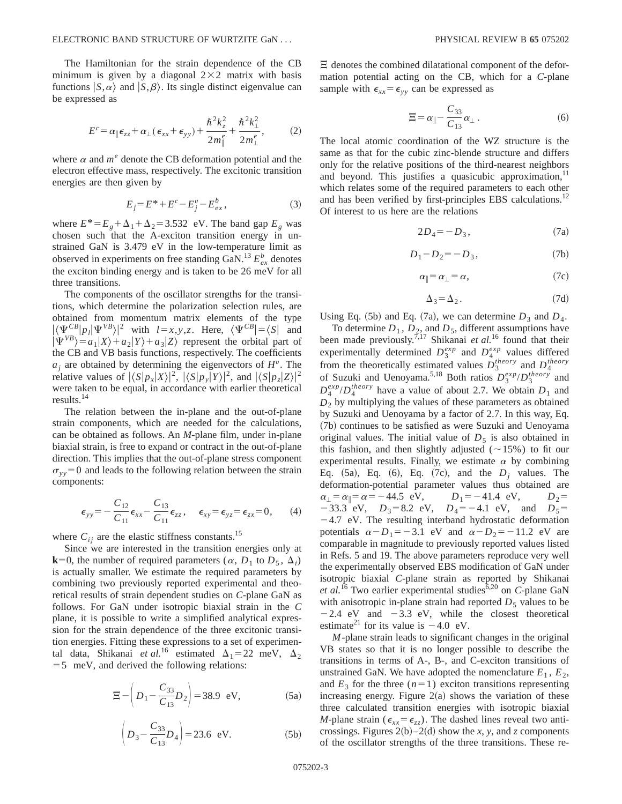The Hamiltonian for the strain dependence of the CB minimum is given by a diagonal  $2\times2$  matrix with basis functions  $|S,\alpha\rangle$  and  $|S,\beta\rangle$ . Its single distinct eigenvalue can be expressed as

$$
E^c = \alpha_{\parallel} \epsilon_{zz} + \alpha_{\perp} (\epsilon_{xx} + \epsilon_{yy}) + \frac{\hbar^2 k_z^2}{2m_{\parallel}^e} + \frac{\hbar^2 k_{\perp}^2}{2m_{\perp}^e},\tag{2}
$$

where  $\alpha$  and  $m^e$  denote the CB deformation potential and the electron effective mass, respectively. The excitonic transition energies are then given by

$$
E_j = E^* + E^c - E^v_j - E^b_{ex},\tag{3}
$$

where  $E^* = E_g + \Delta_1 + \Delta_2 = 3.532$  eV. The band gap  $E_g$  was chosen such that the A-exciton transition energy in unstrained GaN is 3.479 eV in the low-temperature limit as observed in experiments on free standing GaN.<sup>13</sup>  $E_{ex}^{b}$  denotes the exciton binding energy and is taken to be 26 meV for all three transitions.

The components of the oscillator strengths for the transitions, which determine the polarization selection rules, are obtained from momentum matrix elements of the type  $|\langle \Psi_{\text{S}}^{CB} | p_i | \Psi_{\text{V}}^{VB} \rangle|^2$  with  $l = x, y, z$ . Here,  $\langle \Psi_{\text{S}}^{CB} | = \langle S |$  and  $|\Psi^{VB}\rangle = a_1|X\rangle + a_2|Y\rangle + a_3|Z\rangle$  represent the orbital part of the CB and VB basis functions, respectively. The coefficients  $a_i$  are obtained by determining the eigenvectors of  $H^v$ . The relative values of  $|\langle S|p_x|X\rangle|^2$ ,  $|\langle S|p_y|Y\rangle|^2$ , and  $|\langle S|p_z|Z\rangle|^2$ were taken to be equal, in accordance with earlier theoretical results. $^{14}$ 

The relation between the in-plane and the out-of-plane strain components, which are needed for the calculations, can be obtained as follows. An *M*-plane film, under in-plane biaxial strain, is free to expand or contract in the out-of-plane direction. This implies that the out-of-plane stress component  $\sigma_{yy}$ =0 and leads to the following relation between the strain components:

$$
\epsilon_{yy} = -\frac{C_{12}}{C_{11}} \epsilon_{xx} - \frac{C_{13}}{C_{11}} \epsilon_{zz}, \quad \epsilon_{xy} = \epsilon_{yz} = \epsilon_{zx} = 0, \quad (4)
$$

where  $C_{ij}$  are the elastic stiffness constants.<sup>15</sup>

Since we are interested in the transition energies only at **k**=0, the number of required parameters ( $\alpha$ ,  $D_1$  to  $D_5$ ,  $\Delta_i$ ) is actually smaller. We estimate the required parameters by combining two previously reported experimental and theoretical results of strain dependent studies on *C*-plane GaN as follows. For GaN under isotropic biaxial strain in the *C* plane, it is possible to write a simplified analytical expression for the strain dependence of the three excitonic transition energies. Fitting these expressions to a set of experimental data, Shikanai *et al.*<sup>16</sup> estimated  $\Delta_1 = 22$  meV,  $\Delta_2$  $=$  5 meV, and derived the following relations:

$$
\Xi - \left( D_1 - \frac{C_{33}}{C_{13}} D_2 \right) = 38.9 \text{ eV}, \tag{5a}
$$

$$
\left(D_3 - \frac{C_{33}}{C_{13}}D_4\right) = 23.6 \text{ eV.}
$$
 (5b)

 $\Xi$  denotes the combined dilatational component of the deformation potential acting on the CB, which for a *C*-plane sample with  $\epsilon_{xx} = \epsilon_{yy}$  can be expressed as

$$
\Xi = \alpha_{\parallel} - \frac{C_{33}}{C_{13}} \alpha_{\perp} . \tag{6}
$$

The local atomic coordination of the WZ structure is the same as that for the cubic zinc-blende structure and differs only for the relative positions of the third-nearest neighbors and beyond. This justifies a quasicubic approximation, $11$ which relates some of the required parameters to each other and has been verified by first-principles EBS calculations.<sup>12</sup> Of interest to us here are the relations

$$
2D_4 = -D_3,\t(7a)
$$

$$
D_1 - D_2 = -D_3, \t(7b)
$$

$$
\alpha_{\parallel} = \alpha_{\perp} = \alpha, \tag{7c}
$$

$$
\Delta_3 = \Delta_2. \tag{7d}
$$

Using Eq. (5b) and Eq. (7a), we can determine  $D_3$  and  $D_4$ .

To determine  $D_1$ ,  $D_2$ , and  $D_5$ , different assumptions have been made previously.7,17 Shikanai *et al.*<sup>16</sup> found that their experimentally determined  $D_3^{exp}$  and  $D_4^{exp}$  values differed from the theoretically estimated values  $D_3^{theory}$  and  $D_4^{theory}$ of Suzuki and Uenoyama.<sup>5,18</sup> Both ratios  $D_3^{exp}/D_3^{theory}$  and  $D_4^{exp}/D_4^{theory}$  have a value of about 2.7. We obtain  $D_1$  and  $D_2$  by multiplying the values of these parameters as obtained by Suzuki and Uenoyama by a factor of 2.7. In this way, Eq. ~7b! continues to be satisfied as were Suzuki and Uenoyama original values. The initial value of  $D<sub>5</sub>$  is also obtained in this fashion, and then slightly adjusted ( $\sim$ 15%) to fit our experimental results. Finally, we estimate  $\alpha$  by combining Eq.  $(5a)$ , Eq.  $(6)$ , Eq.  $(7c)$ , and the  $D_i$  values. The deformation-potential parameter values thus obtained are  $\alpha_{\perp} = \alpha_{\parallel} = \alpha = -44.5 \text{ eV}, \qquad D_1 = -41.4 \text{ eV}, \qquad D_2 =$  $-33.3$  eV,  $D_3=8.2$  eV,  $D_4=-4.1$  eV, and  $D_5=$  $-4.7$  eV. The resulting interband hydrostatic deformation potentials  $\alpha - D_1 = -3.1$  eV and  $\alpha - D_2 = -11.2$  eV are comparable in magnitude to previously reported values listed in Refs. 5 and 19. The above parameters reproduce very well the experimentally observed EBS modification of GaN under isotropic biaxial *C*-plane strain as reported by Shikanai *et al.*<sup>16</sup> Two earlier experimental studies<sup>6,20</sup> on *C*-plane GaN with anisotropic in-plane strain had reported  $D_5$  values to be  $-2.4$  eV and  $-3.3$  eV, while the closest theoretical estimate<sup>21</sup> for its value is  $-4.0$  eV.

*M*-plane strain leads to significant changes in the original VB states so that it is no longer possible to describe the transitions in terms of A-, B-, and C-exciton transitions of unstrained GaN. We have adopted the nomenclature  $E_1$ ,  $E_2$ , and  $E_3$  for the three  $(n=1)$  exciton transitions representing increasing energy. Figure  $2(a)$  shows the variation of these three calculated transition energies with isotropic biaxial *M*-plane strain ( $\epsilon_{xx} = \epsilon_{zz}$ ). The dashed lines reveal two anticrossings. Figures  $2(b)$ –2(d) show the *x*, *y*, and *z* components of the oscillator strengths of the three transitions. These re-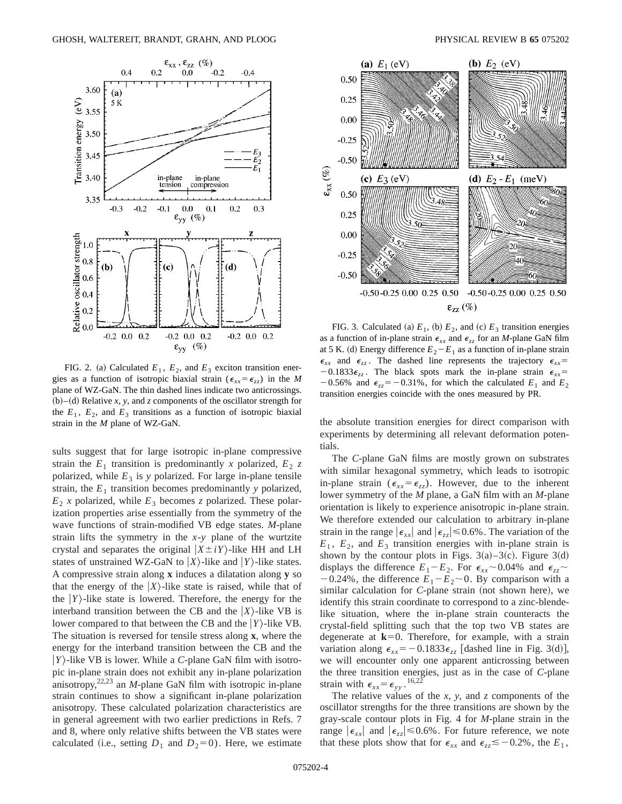

FIG. 2. (a) Calculated  $E_1$ ,  $E_2$ , and  $E_3$  exciton transition energies as a function of isotropic biaxial strain ( $\epsilon_{xx} = \epsilon_{zz}$ ) in the *M* plane of WZ-GaN. The thin dashed lines indicate two anticrossings.  $(b)$ – $(d)$  Relative *x*, *y*, and *z* components of the oscillator strength for the  $E_1$ ,  $E_2$ , and  $E_3$  transitions as a function of isotropic biaxial strain in the *M* plane of WZ-GaN.

sults suggest that for large isotropic in-plane compressive strain the  $E_1$  transition is predominantly *x* polarized,  $E_2$  *z* polarized, while  $E_3$  is *y* polarized. For large in-plane tensile strain, the  $E_1$  transition becomes predominantly  $y$  polarized,  $E_2$  *x* polarized, while  $E_3$  becomes *z* polarized. These polarization properties arise essentially from the symmetry of the wave functions of strain-modified VB edge states. *M*-plane strain lifts the symmetry in the *x*-*y* plane of the wurtzite crystal and separates the original  $|X \pm iY\rangle$ -like HH and LH states of unstrained WZ-GaN to  $|X\rangle$ -like and  $|Y\rangle$ -like states. A compressive strain along **x** induces a dilatation along **y** so that the energy of the  $|X\rangle$ -like state is raised, while that of the  $|Y\rangle$ -like state is lowered. Therefore, the energy for the interband transition between the CB and the  $|X\rangle$ -like VB is lower compared to that between the CB and the  $|Y\rangle$ -like VB. The situation is reversed for tensile stress along **x**, where the energy for the interband transition between the CB and the  $|Y\rangle$ -like VB is lower. While a *C*-plane GaN film with isotropic in-plane strain does not exhibit any in-plane polarization anisotropy, $22,23$  an *M*-plane GaN film with isotropic in-plane strain continues to show a significant in-plane polarization anisotropy. These calculated polarization characteristics are in general agreement with two earlier predictions in Refs. 7 and 8, where only relative shifts between the VB states were calculated (i.e., setting  $D_1$  and  $D_2=0$ ). Here, we estimate



FIG. 3. Calculated (a)  $E_1$ , (b)  $E_2$ , and (c)  $E_3$  transition energies as a function of in-plane strain  $\epsilon_{xx}$  and  $\epsilon_{zz}$  for an *M*-plane GaN film at 5 K. (d) Energy difference  $E_2 - E_1$  as a function of in-plane strain  $\epsilon_{xx}$  and  $\epsilon_{zz}$ . The dashed line represents the trajectory  $\epsilon_{xx}$  $-0.1833 \epsilon_{zz}$ . The black spots mark the in-plane strain  $\epsilon_{xx}$  $-0.56\%$  and  $\epsilon_{zz} = -0.31\%$ , for which the calculated  $E_1$  and  $E_2$ transition energies coincide with the ones measured by PR.

the absolute transition energies for direct comparison with experiments by determining all relevant deformation potentials.

The *C*-plane GaN films are mostly grown on substrates with similar hexagonal symmetry, which leads to isotropic in-plane strain ( $\epsilon_{xx} = \epsilon_{zz}$ ). However, due to the inherent lower symmetry of the *M* plane, a GaN film with an *M*-plane orientation is likely to experience anisotropic in-plane strain. We therefore extended our calculation to arbitrary in-plane strain in the range  $|\epsilon_{xx}|$  and  $|\epsilon_{zz}| \le 0.6\%$ . The variation of the  $E_1$ ,  $E_2$ , and  $E_3$  transition energies with in-plane strain is shown by the contour plots in Figs.  $3(a) - 3(c)$ . Figure 3(d) displays the difference  $E_1 - E_2$ . For  $\epsilon_{xx} \sim 0.04\%$  and  $\epsilon_{zz} \sim$  $-0.24\%$ , the difference  $E_1 - E_2 \sim 0$ . By comparison with a similar calculation for *C*-plane strain (not shown here), we identify this strain coordinate to correspond to a zinc-blendelike situation, where the in-plane strain counteracts the crystal-field splitting such that the top two VB states are degenerate at  $k=0$ . Therefore, for example, with a strain variation along  $\epsilon_{xx}$ = -0.1833 $\epsilon_{zz}$  [dashed line in Fig. 3(d)], we will encounter only one apparent anticrossing between the three transition energies, just as in the case of *C*-plane strain with  $\epsilon_{xx} = \epsilon_{yy}$ . <sup>16,22</sup>

The relative values of the *x*, *y*, and *z* components of the oscillator strengths for the three transitions are shown by the gray-scale contour plots in Fig. 4 for *M*-plane strain in the range  $|\epsilon_{xx}|$  and  $|\epsilon_{zz}| \le 0.6\%$ . For future reference, we note that these plots show that for  $\epsilon_{xx}$  and  $\epsilon_{zz} \leq -0.2\%$ , the  $E_1$ ,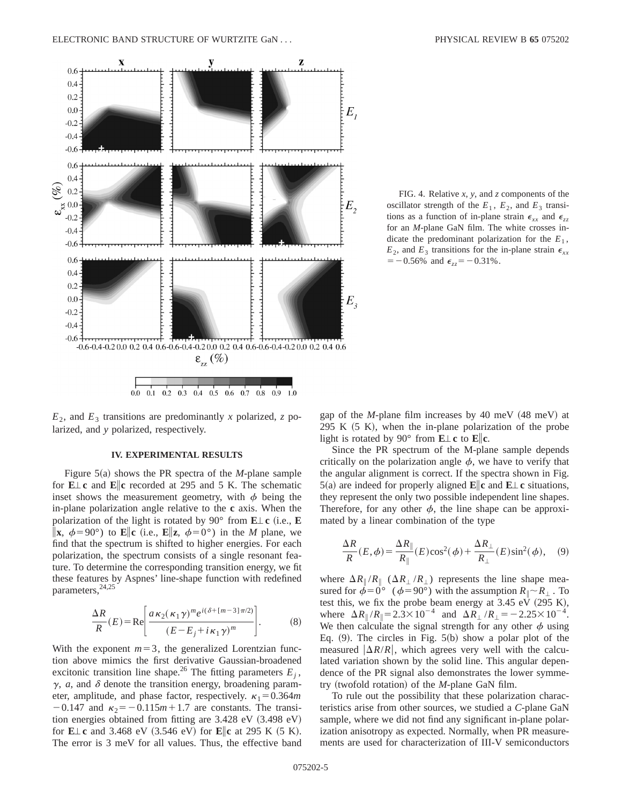

FIG. 4. Relative *x*, *y*, and *z* components of the oscillator strength of the  $E_1$ ,  $E_2$ , and  $E_3$  transitions as a function of in-plane strain  $\epsilon_{xx}$  and  $\epsilon_{zz}$ for an *M*-plane GaN film. The white crosses indicate the predominant polarization for the  $E_1$ ,  $E_2$ , and  $E_3$  transitions for the in-plane strain  $\epsilon_{xx}$  $=$  -0.56% and  $\epsilon_{zz}$  = -0.31%.

 $E_2$ , and  $E_3$  transitions are predominantly *x* polarized, *z* polarized, and *y* polarized, respectively.

## **IV. EXPERIMENTAL RESULTS**

Figure  $5(a)$  shows the PR spectra of the *M*-plane sample for **E**'**c** and **E**i**c** recorded at 295 and 5 K. The schematic inset shows the measurement geometry, with  $\phi$  being the in-plane polarization angle relative to the **c** axis. When the polarization of the light is rotated by 90 $\degree$  from **E** $\perp$ **c** (i.e., **E**  $\|\mathbf{x}, \phi = 90^{\circ}$  to **E**||**c** (i.e., **E**||**z**,  $\phi = 0^{\circ}$ ) in the *M* plane, we find that the spectrum is shifted to higher energies. For each polarization, the spectrum consists of a single resonant feature. To determine the corresponding transition energy, we fit these features by Aspnes' line-shape function with redefined parameters,<sup>24,25</sup>

$$
\frac{\Delta R}{R}(E) = \text{Re}\left[\frac{a\kappa_2(\kappa_1\gamma)^m e^{i(\delta + [m-3]\pi/2)}}{(E - E_j + i\kappa_1\gamma)^m}\right].\tag{8}
$$

With the exponent  $m=3$ , the generalized Lorentzian function above mimics the first derivative Gaussian-broadened excitonic transition line shape.<sup>26</sup> The fitting parameters  $E_i$ ,  $\gamma$ , *a*, and  $\delta$  denote the transition energy, broadening parameter, amplitude, and phase factor, respectively.  $\kappa_1 = 0.364$ *m*  $-0.147$  and  $\kappa_2 = -0.115m + 1.7$  are constants. The transition energies obtained from fitting are  $3.428$  eV  $(3.498$  eV) for **E** $\perp$ **c** and 3.468 eV (3.546 eV) for **E**|**c** at 295 K (5 K). The error is 3 meV for all values. Thus, the effective band gap of the *M*-plane film increases by 40 meV (48 meV) at 295 K  $(5 K)$ , when the in-plane polarization of the probe light is rotated by 90 $^{\circ}$  from **E** $\perp$ **c** to **E**||**c**.

Since the PR spectrum of the M-plane sample depends critically on the polarization angle  $\phi$ , we have to verify that the angular alignment is correct. If the spectra shown in Fig. 5(a) are indeed for properly aligned  $\mathbf{E}$ **c** and  $\mathbf{E} \perp \mathbf{c}$  situations, they represent the only two possible independent line shapes. Therefore, for any other  $\phi$ , the line shape can be approximated by a linear combination of the type

$$
\frac{\Delta R}{R}(E,\phi) = \frac{\Delta R_{\parallel}}{R_{\parallel}}(E)\cos^2(\phi) + \frac{\Delta R_{\perp}}{R_{\perp}}(E)\sin^2(\phi), \quad (9)
$$

where  $\Delta R_{\parallel}/R_{\parallel}$  ( $\Delta R_{\perp}/R_{\perp}$ ) represents the line shape measured for  $\phi=0^{\circ}$  ( $\phi=90^{\circ}$ ) with the assumption  $R_{\parallel}\sim R_{\perp}$ . To test this, we fix the probe beam energy at  $3.45$  eV (295 K), where  $\Delta R_{\parallel}/R_{\parallel} = 2.3 \times 10^{-4}$  and  $\Delta R_{\perp}/R_{\perp} = -2.25 \times 10^{-4}$ . We then calculate the signal strength for any other  $\phi$  using Eq.  $(9)$ . The circles in Fig. 5 $(b)$  show a polar plot of the measured  $|\Delta R/R|$ , which agrees very well with the calculated variation shown by the solid line. This angular dependence of the PR signal also demonstrates the lower symmetry (twofold rotation) of the *M*-plane GaN film.

To rule out the possibility that these polarization characteristics arise from other sources, we studied a *C*-plane GaN sample, where we did not find any significant in-plane polarization anisotropy as expected. Normally, when PR measurements are used for characterization of III-V semiconductors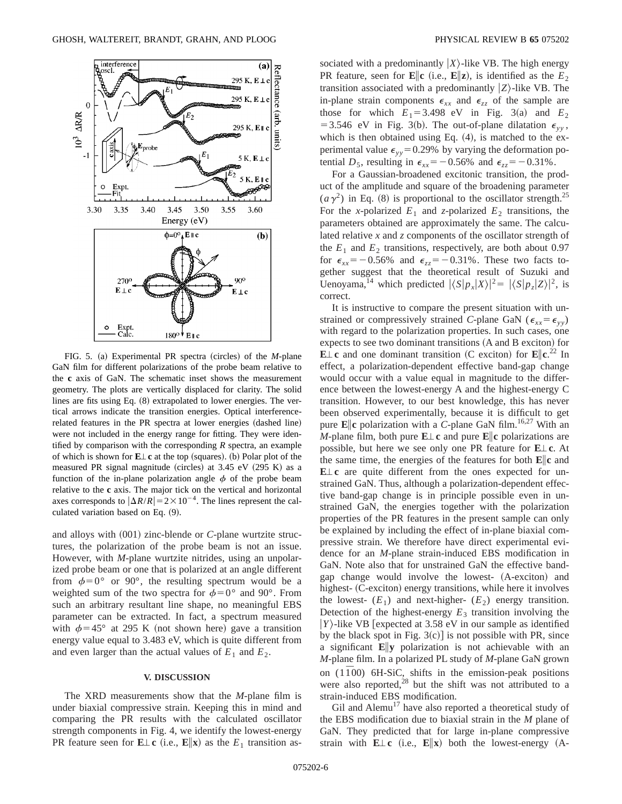

FIG. 5. (a) Experimental PR spectra (circles) of the *M*-plane GaN film for different polarizations of the probe beam relative to the **c** axis of GaN. The schematic inset shows the measurement geometry. The plots are vertically displaced for clarity. The solid lines are fits using Eq.  $(8)$  extrapolated to lower energies. The vertical arrows indicate the transition energies. Optical interferencerelated features in the PR spectra at lower energies (dashed line) were not included in the energy range for fitting. They were identified by comparison with the corresponding *R* spectra, an example of which is shown for  $E \perp c$  at the top (squares). (b) Polar plot of the measured PR signal magnitude (circles) at  $3.45$  eV  $(295 K)$  as a function of the in-plane polarization angle  $\phi$  of the probe beam relative to the **c** axis. The major tick on the vertical and horizontal axes corresponds to  $|\Delta R/R| = 2 \times 10^{-4}$ . The lines represent the calculated variation based on Eq. (9).

and alloys with (001) zinc-blende or *C*-plane wurtzite structures, the polarization of the probe beam is not an issue. However, with *M*-plane wurtzite nitrides, using an unpolarized probe beam or one that is polarized at an angle different from  $\phi=0^{\circ}$  or 90°, the resulting spectrum would be a weighted sum of the two spectra for  $\phi=0^{\circ}$  and 90°. From such an arbitrary resultant line shape, no meaningful EBS parameter can be extracted. In fact, a spectrum measured with  $\phi$ =45° at 295 K (not shown here) gave a transition energy value equal to 3.483 eV, which is quite different from and even larger than the actual values of  $E_1$  and  $E_2$ .

### **V. DISCUSSION**

The XRD measurements show that the *M*-plane film is under biaxial compressive strain. Keeping this in mind and comparing the PR results with the calculated oscillator strength components in Fig. 4, we identify the lowest-energy **PR** feature seen for  $\mathbf{E} \perp \mathbf{c}$  (i.e.,  $\mathbf{E} \parallel \mathbf{x}$ ) as the  $E_1$  transition associated with a predominantly  $|X\rangle$ -like VB. The high energy PR feature, seen for **E**||**c** (i.e., **E**||**z**), is identified as the  $E_2$ transition associated with a predominantly  $|Z\rangle$ -like VB. The in-plane strain components  $\epsilon_{xx}$  and  $\epsilon_{zz}$  of the sample are those for which  $E_1 = 3.498$  eV in Fig. 3(a) and  $E_2$ = 3.546 eV in Fig. 3(b). The out-of-plane dilatation  $\epsilon_{yy}$ , which is then obtained using Eq.  $(4)$ , is matched to the experimental value  $\epsilon_{yy}=0.29\%$  by varying the deformation potential  $D_5$ , resulting in  $\epsilon_{xx} = -0.56\%$  and  $\epsilon_{zz} = -0.31\%$ .

For a Gaussian-broadened excitonic transition, the product of the amplitude and square of the broadening parameter  $(a\gamma^2)$  in Eq. (8) is proportional to the oscillator strength.<sup>25</sup> For the *x*-polarized  $E_1$  and *z*-polarized  $E_2$  transitions, the parameters obtained are approximately the same. The calculated relative *x* and *z* components of the oscillator strength of the  $E_1$  and  $E_2$  transitions, respectively, are both about 0.97 for  $\epsilon_{xx}$ = -0.56% and  $\epsilon_{zz}$ = -0.31%. These two facts together suggest that the theoretical result of Suzuki and Uenoyama,<sup>14</sup> which predicted  $|\langle S|p_x|X\rangle|^2 = |\langle S|p_z|Z\rangle|^2$ , is correct.

It is instructive to compare the present situation with unstrained or compressively strained *C*-plane GaN ( $\epsilon_{xx} = \epsilon_{yy}$ ) with regard to the polarization properties. In such cases, one expects to see two dominant transitions (A and B exciton) for  $\mathbf{E} \perp \mathbf{c}$  and one dominant transition (C exciton) for  $\mathbf{E} \parallel \mathbf{c}^{22}$  In effect, a polarization-dependent effective band-gap change would occur with a value equal in magnitude to the difference between the lowest-energy A and the highest-energy C transition. However, to our best knowledge, this has never been observed experimentally, because it is difficult to get pure  $\mathbf{E}$  **c** polarization with a *C*-plane GaN film.<sup>16,27</sup> With an *M*-plane film, both pure  $E \perp c$  and pure  $E \| c$  polarizations are possible, but here we see only one PR feature for **E**'**c**. At the same time, the energies of the features for both **E**i**c** and  $E \perp c$  are quite different from the ones expected for unstrained GaN. Thus, although a polarization-dependent effective band-gap change is in principle possible even in unstrained GaN, the energies together with the polarization properties of the PR features in the present sample can only be explained by including the effect of in-plane biaxial compressive strain. We therefore have direct experimental evidence for an *M*-plane strain-induced EBS modification in GaN. Note also that for unstrained GaN the effective bandgap change would involve the lowest- (A-exciton) and highest- (C-exciton) energy transitions, while here it involves the lowest-  $(E_1)$  and next-higher-  $(E_2)$  energy transition. Detection of the highest-energy  $E_3$  transition involving the  $|Y\rangle$ -like VB [expected at 3.58 eV in our sample as identified by the black spot in Fig.  $3(c)$  is not possible with PR, since a significant **E**i**y** polarization is not achievable with an *M*-plane film. In a polarized PL study of *M*-plane GaN grown on  $(1\bar{1}00)$  6H-SiC, shifts in the emission-peak positions were also reported, $^{28}$  but the shift was not attributed to a strain-induced EBS modification.

Gil and Alemu<sup>17</sup> have also reported a theoretical study of the EBS modification due to biaxial strain in the *M* plane of GaN. They predicted that for large in-plane compressive strain with  $\mathbf{E} \perp \mathbf{c}$  (i.e.,  $\mathbf{E} \parallel \mathbf{x}$ ) both the lowest-energy (A-